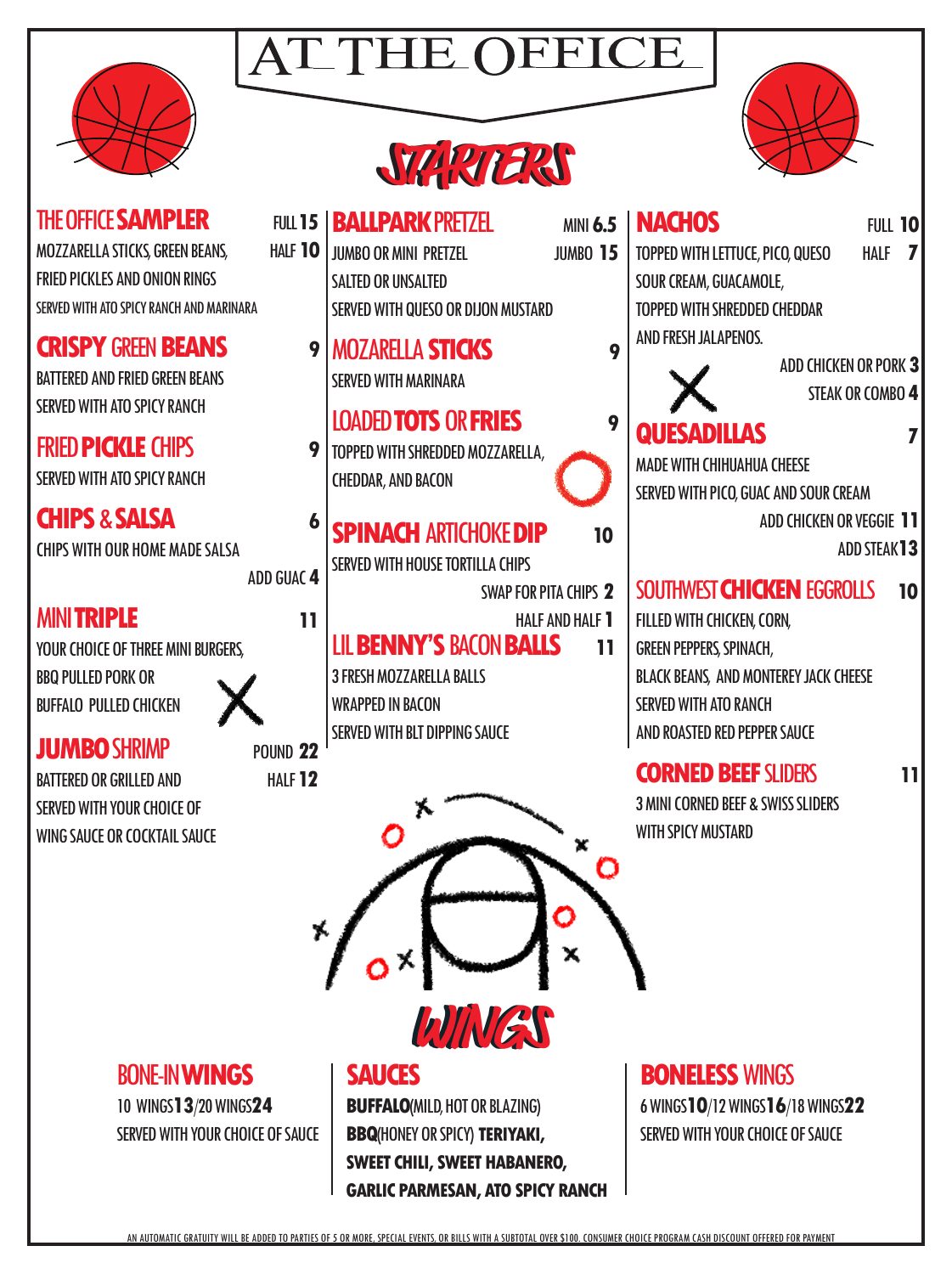



**NACHOS** FULL 10 TOPPED WITH LETTUCE, PICO, QUESO HALF **7**

#### **THE OFFICE SAMPLER** MOZZARELLA STICKS, GREEN BEANS, HALF **10** FRIED PICKLES AND ONION RINGS SERVED WITH ATO SPICY RANCH AND MARINARA

**CRISPY GREEN BEANS** BATTERED AND FRIED GREEN BEANS SERVED WITH ATO SPICY RANCH

FRIED **PICKLE** CHIPS **9**

SERVED WITH ATO SPICY RANCH

**CHIPS** & **SALSA 6** CHIPS WITH OUR HOME MADE SALSA

ADD GUAC **4**

#### MINI **TRIPLE 11**

YOUR CHOICE OF THREE MINI BURGERS. BBQ PULLED PORK OR BUFFALO PULLED CHICKEN

**JUMBO** SHRIMP POUND 22

BATTERED OR GRILLED AND HALF **12** SERVED WITH YOUR CHOICE OF WING SAUCE OR COCKTAIL SAUCE



**BALLPARK** PRETZEL MINI **6.5** JUMBO OR MINI PRETZEL JUMBO **15** SALTED OR UNSALTED SERVED WITH QUESO OR DIJON MUSTARD

MOZARELLA **STICKS 9** SERVED WITH MARINARA

#### LOADED **TOTS** OR **FRIES 9**

TOPPED WITH SHREDDED MOZZARELLA, CHEDDAR, AND BACON

#### **SPINACH ARTICHOKE DIP** 10

SERVED WITH HOUSE TORTILLA CHIPS

- SWAP FOR PITA CHIPS **2** HALF AND HALF **1**
- LIL **BENNY'S** BACON **BALLS 11**

3 FRESH MOZZARELLA BALLS WRAPPED IN BACON SERVED WITH BLT DIPPING SAUCE





#### BONE-IN **WINGS**

10 WINGS**13**/20 WINGS**24** SERVED WITH YOUR CHOICE OF SAUCE

#### **SAUCES**

**BUFFALO**(MILD, HOT OR BLAZING) **BBQ**(HONEY OR SPICY) **TERIYAKI, SWEET CHILI, SWEET HABANERO, GARLIC PARMESAN, ATO SPICY RANCH**



#### ADD CHICKEN OR PORK **3** STEAK OR COMBO **4**

### **QUESADILLAS 7**

MADE WITH CHIHUAHUA CHEESE SERVED WITH PICO, GUAC AND SOUR CREAM

ADD CHICKEN OR VEGGIE **11**

ADD STEAK**13**

#### SOUTHWEST **CHICKEN** EGGROLLS **10**

FILLED WITH CHICKEN, CORN, GREEN PEPPERS, SPINACH, BLACK BEANS, AND MONTEREY JACK CHEESE SERVED WITH ATO RANCH AND ROASTED RED PEPPER SAUCE

#### **CORNED BEEF** SLIDERS **11**

3 MINI CORNED BEEF & SWISS SLIDERS WITH SPICY MUSTARD

#### **BONELESS** WINGS

6 WINGS**10**/12 WINGS**16**/18 WINGS**22** SERVED WITH YOUR CHOICE OF SAUCE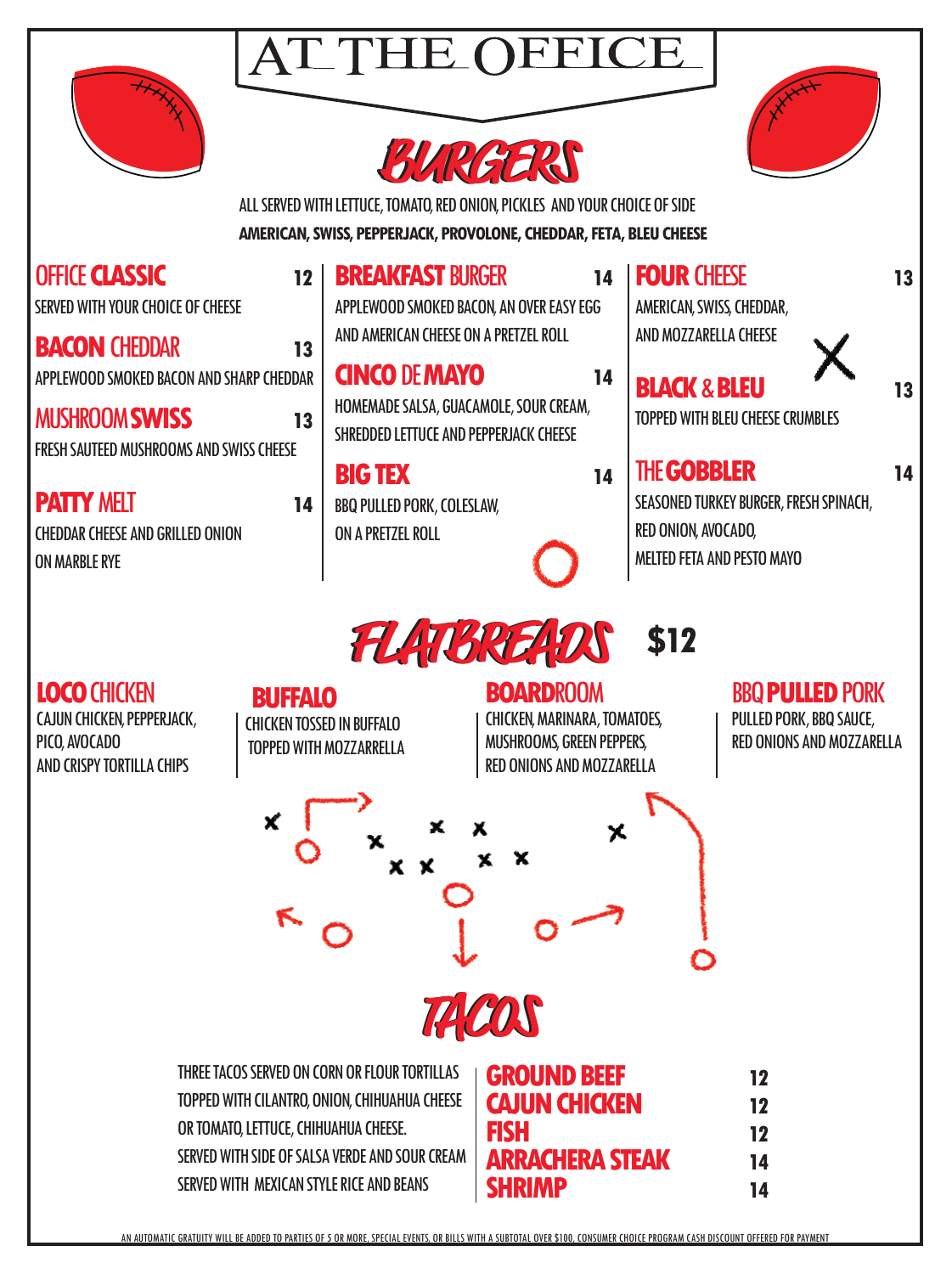





ALL SERVED WITH LETTUCE, TOMATO, RED ONION, PICKLES AND YOUR CHOICE OF SIDE **AMERICAN, SWISS, PEPPERJACK, PROVOLONE, CHEDDAR, FETA, BLEU CHEESE**

| OFFICE <b>CLASSIC</b><br>12<br>SERVED WITH YOUR CHOICE OF CHEESE<br><b>BACON CHEDDAR</b><br>13                                                                                                                                        | <b>BREAKFAST BURGER</b><br>APPLEWOOD SMOKED BACON, AN OVER EASY EGG<br>AND AMERICAN CHEESE ON A PRETZEL ROLL | 14                                                                                                                                          | <b>FOUR CHEESE</b><br>AMERICAN, SWISS, CHEDDAR,<br>AND MOZZARELLA CHEESE                                                 | 13                                                                             |
|---------------------------------------------------------------------------------------------------------------------------------------------------------------------------------------------------------------------------------------|--------------------------------------------------------------------------------------------------------------|---------------------------------------------------------------------------------------------------------------------------------------------|--------------------------------------------------------------------------------------------------------------------------|--------------------------------------------------------------------------------|
| APPLEWOOD SMOKED BACON AND SHARP CHEDDAR<br><b>MUSHROOM SWISS</b><br>13<br>FRESH SAUTEED MUSHROOMS AND SWISS CHEESE                                                                                                                   | <b>CINCO DE MAYO</b><br>HOMEMADE SALSA, GUACAMOLE, SOUR CREAM,<br>SHREDDED LETTUCE AND PEPPERJACK CHEESE     | 14                                                                                                                                          | <b>BLACK &amp; BLEU</b><br><b>TOPPED WITH BLEU CHEESE CRUMBLES</b>                                                       | 13                                                                             |
| <b>PATTY MELT</b><br>14<br><b>CHEDDAR CHEESE AND GRILLED ONION</b><br><b>ON MARBLE RYE</b>                                                                                                                                            | <b>BIG TEX</b><br><b>BBQ PULLED PORK, COLESLAW,</b><br>ON A PRETZEL ROLL                                     | 14                                                                                                                                          | <b>THE GOBBLER</b><br>SEASONED TURKEY BURGER, FRESH SPINACH,<br>RED ONION, AVOCADO,<br><b>MELTED FETA AND PESTO MAYO</b> | 14                                                                             |
| <b>LOCO CHICKEN</b><br><b>BUFFALO</b><br>CAJUN CHICKEN, PEPPERJACK,<br><b>CHICKEN TOSSED IN BUFFALO</b><br>PICO, AVOCADO<br>AND CRISPY TORTILLA CHIPS<br>x                                                                            | <b>TOPPED WITH MOZZARRELLA</b>                                                                               | <b>FLATSREADS</b><br><b>BOARDROOM</b><br><b>CHICKEN, MARINARA, TOMATOES,</b><br>MUSHROOMS, GREEN PEPPERS,<br>RED ONIONS AND MOZZARELLA<br>x | \$12                                                                                                                     | <b>BBQ PULLED PORK</b><br>PULLED PORK, BBQ SAUCE,<br>RED ONIONS AND MOZZARELLA |
|                                                                                                                                                                                                                                       |                                                                                                              | TACOS                                                                                                                                       |                                                                                                                          |                                                                                |
| THREE TACOS SERVED ON CORN OR FLOUR TORTILLAS<br>TOPPED WITH CILANTRO, ONION, CHIHUAHUA CHEESE<br>OR TOMATO, LETTUCE, CHIHUAHUA CHEESE.<br>SERVED WITH SIDE OF SALSA VERDE AND SOUR CREAM<br>SERVED WITH MEXICAN STYLE RICE AND BEANS |                                                                                                              | <b>GROUND BEEF</b><br><b>CAJUN CHICKEN</b><br><b>FISH</b><br><b>ARRACHERA STEAK</b><br><b>SHRIMP</b>                                        | 12<br>12<br>12<br>14<br>14                                                                                               |                                                                                |

AN AUTOMATIC GRATUITY WILL BE ADDED TO PARTIES OF 5 OR MORE, SPECIAL EVENTS, OR BILLS WITH A SUBTOTAL OVER \$100, CONSUMER CHOICE PROGRAM CASH DISCOUNT OFFERED FOR PAYMENT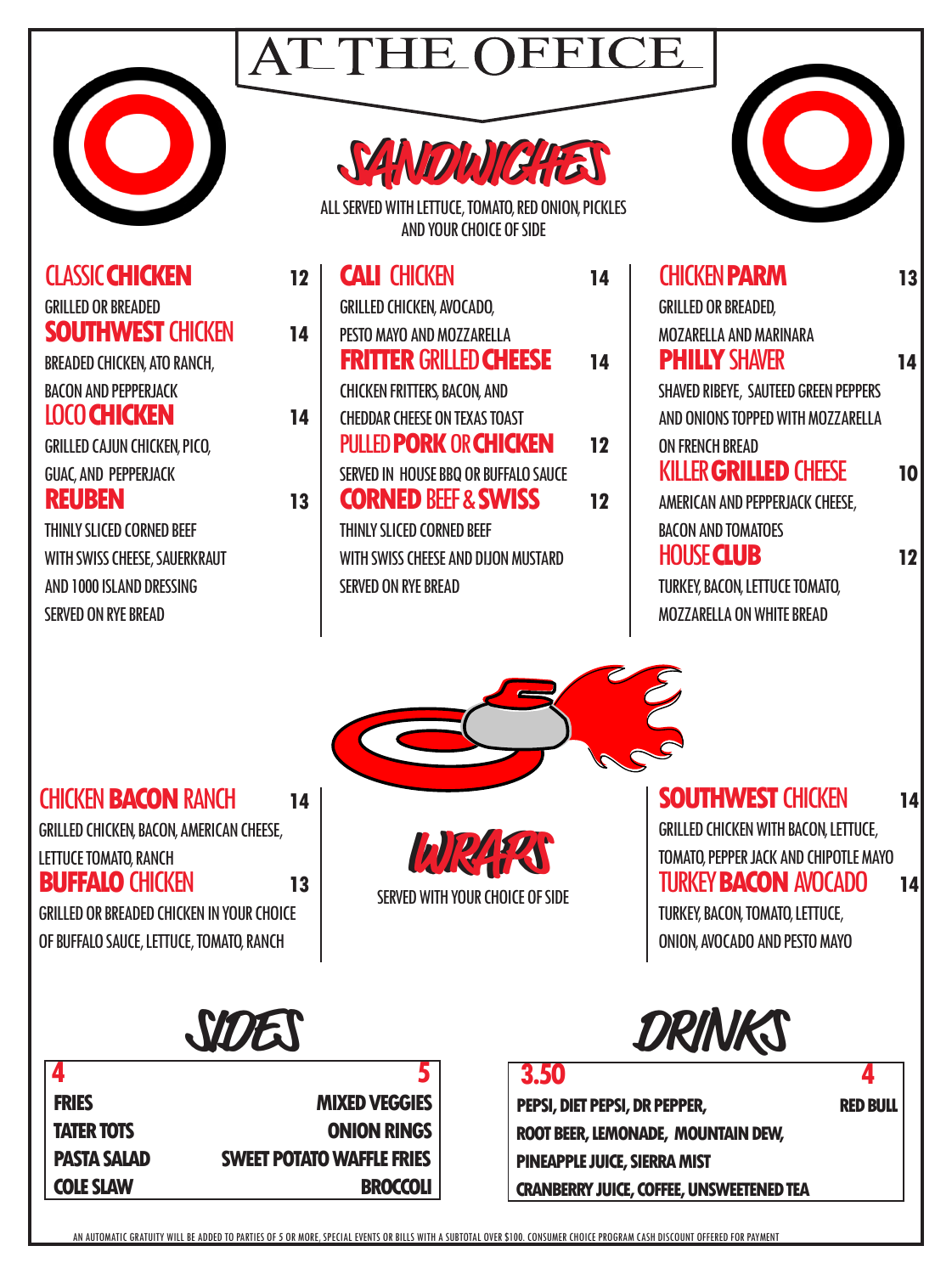

**SANDWICHES SANDWICHES**

**CALI** CHICKEN **14** 

ALL SERVED WITH LETTUCE, TOMATO, RED ONION, PICKLES AND YOUR CHOICE OF SIDE

**FRITTER** GRILLED **CHEESE 14**

GRILLED CHICKEN, AVOCADO, PESTO MAYO AND MOZZARELLA

CHICKEN FRITTERS, BACON, AND



| <b>CHICKEN PARM</b>                   |
|---------------------------------------|
| <b>GRILLED OR BREADED,</b>            |
| <b>MOZARELLA AND MARINARA</b>         |
| <b>PHILLY SHAVER</b>                  |
| SHAVED RIBEYE, SAUTEED GREEN PEPPERS  |
| AND ONIONS TOPPED WITH MOZZARELLA     |
| <b>ON FRENCH BREAD</b>                |
| <b>KILLER GRILLED CHEESE</b>          |
| AMERICAN AND PEPPERJACK CHEESE,       |
| <b>BACON AND TOMATOES</b>             |
| <b>HOUSE CLUB</b>                     |
| <b>TURKEY, BACON, LETTUCE TOMATO,</b> |
| <b>MOZZARELLA ON WHITE BREAD</b>      |

CLASSIC **CHICKEN 12**  GRILLED OR BREADED **SOUTHWEST** CHICKEN **14** BREADED CHICKEN, ATO RANCH, BACON AND PEPPERJACK LOCO **CHICKEN 14** GRILLED CAJUN CHICKEN, PICO, GUAC, AND PEPPERJACK **REUBEN** 13

THINLY SLICED CORNED BEEF WITH SWISS CHEESE, SAUERKRAUT AND 1000 ISLAND DRESSING SERVED ON RYE BREAD

#### CHEDDAR CHEESE ON TEXAS TOAST PULLED **PORK** OR **CHICKEN 12** SERVED IN HOUSE BBQ OR BUFFALO SAUCE **CORNED BEEF & SWISS 12** THINLY SLICED CORNED BEEF

WITH SWISS CHEESE AND DIJON MUSTARD SERVED ON RYE BREAD

CHICKEN **BACON** RANCH **14** GRILLED CHICKEN, BACON, AMERICAN CHEESE,

LETTUCE TOMATO, RANCH

**BUFFALO** CHICKEN **13** GRILLED OR BREADED CHICKEN IN YOUR CHOICE OF BUFFALO SAUCE, LETTUCE, TOMATO, RANCH

**WRAPS WRAPS** SERVED WITH YOUR CHOICE OF SIDE **SOUTHWEST CHICKEN 14** GRILLED CHICKEN WITH BACON, LETTUCE, TOMATO, PEPPER JACK AND CHIPOTLE MAYO TURKEY **BACON** AVOCADO **14** TURKEY, BACON, TOMATO, LETTUCE, ONION, AVOCADO AND PESTO MAYO

**4** 5 **FRIES MIXED VEGGIES TATER TOTS CONION RINGS PASTA SALAD SWEET POTATO WAFFLE FRIES COLE SLAW BROCCOLI** 

# **SIDES DRINKS**

 **3.50 4 PEPSI, DIET PEPSI, DR PEPPER, RED BULL ROOT BEER, LEMONADE, MOUNTAIN DEW, PINEAPPLE JUICE, SIERRA MIST CRANBERRY JUICE, COFFEE, UNSWEETENED TEA**